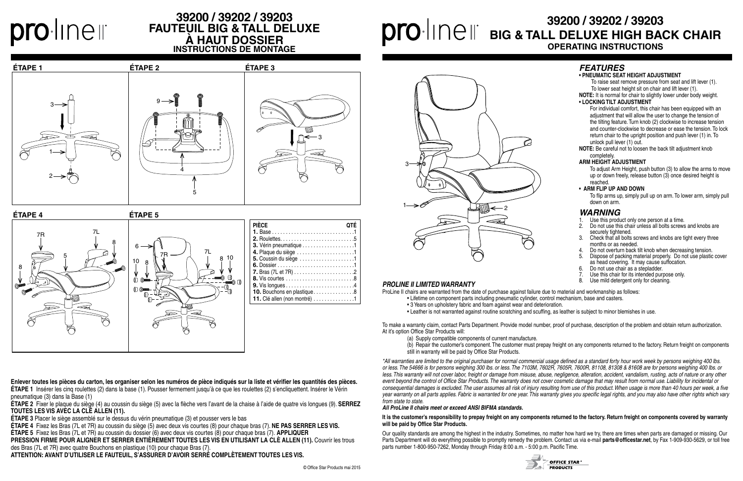## **39200 / 39202 / 39203 BIG & TALL DELUXE HIGH BACK CHAIR OPERATING INSTRUCTIONS**

#### *PROLINE II LIMITED WARRANTY*

ProLine II chairs are warranted from the date of purchase against failure due to material and workmanship as follows:

- Lifetime on component parts including pneumatic cylinder, control mechanism, base and casters.
- 3 Years on upholstery fabric and foam against wear and deterioration.
- Leather is not warranted against routine scratching and scuffing, as leather is subject to minor blemishes in use.

To make a warranty claim, contact Parts Department. Provide model number, proof of purchase, description of the problem and obtain return authorization. At it's option Office Star Products will:

(a) Supply compatible components of current manufacture.

 (b) Repair the customer's component. The customer must prepay freight on any components returned to the factory. Return freight on components still in warranty will be paid by Office Star Products.

*\*All warranties are limited to the original purchaser for normal commercial usage defined as a standard forty hour work week by persons weighing 400 lbs. or less. The 54666 is for persons weighing 300 lbs. or less. The 7103M, 7602R, 7605R, 7600R, 81108, 81308 & 81608 are for persons weighing 400 lbs. or*  less. This warranty will not cover labor, freight or damage from misuse, abuse, negligence, alteration, accident, vandalism, rusting, acts of nature or any other *event beyond the control of Office Star Products. The warranty does not cover cosmetic damage that may result from normal use. Liability for incidental or consequential damages is excluded. The user assumes all risk of injury resulting from use of this product. When usage is more than 40 hours per week, a five year warranty on all parts applies. Fabric is warranted for one year. This warranty gives you specific legal rights, and you may also have other rights which vary from state to state*.

#### *All ProLine II chairs meet or exceed ANSI BIFMA standards.*

#### **It is the customer's responsibility to prepay freight on any components returned to the factory. Return freight on components covered by warranty will be paid by Office Star Products.**

Our quality standards are among the highest in the industry. Sometimes, no matter how hard we try, there are times when parts are damaged or missing. Our Parts Department will do everything possible to promptly remedy the problem. Contact us via e-mail parts@officestar.net, by Fax 1-909-930-5629, or toll free parts number 1-800-950-7262, Monday through Friday 8:00 a.m. - 5:00 p.m. Pacific Time.



#### *WARNING*

- 1. Use this product only one person at a time.<br>2. Do not use this chair unless all bolts screw
- 2. Do not use this chair unless all bolts screws and knobs are securely tightened.
- 3. Check that all bolts screws and knobs are tight every three months or as needed.
- 4. Do not overturn back tilt knob when decreasing tension.<br>5. Dispose of packing material properly. Do not use plastic
- 5. Dispose of packing material properly. Do not use plastic cover as head covering. It may cause suffocation.
- 6. Do not use chair as a stepladder.
- 7. Use this chair for its intended purpose only.<br>8. Use mild detergent only for cleaning.
- Use mild detergent only for cleaning.
- 
- 

OFFICE STAR<sup>®</sup> **PRODUCTS** 



#### *FEATURES*

#### **• PNEUMATIC SEAT HEIGHT ADJUSTMENT**

 To raise seat remove pressure from seat and lift lever (1). To lower seat height sit on chair and lift lever (1).

**NOTE:** It is normal for chair to slightly lower under body weight. **• LOCKING TILT ADJUSTMENT**

For individual comfort, this chair has been equipped with an adjustment that will allow the user to change the tension of the tilting feature. Turn knob (2) clockwise to increase tension and counter-clockwise to decrease or ease the tension. To lock return chair to the upright position and push lever (1) in. To unlock pull lever (1) out.

**NOTE:** Be careful not to loosen the back tilt adjustment knob completely.

#### **ARM HEIGHT ADJUSTMENT**

To adjust Arm Height, push button (3) to allow the arms to move up or down freely, release button (3) once desired height is reached.

#### **• ARM FLIP UP AND DOWN**

To flip arms up, simply pull up on arm. To lower arm, simply pull down on arm.



**ÉTAPE 5**



| <b>PIÈCE</b>                                               |  |
|------------------------------------------------------------|--|
|                                                            |  |
|                                                            |  |
| 3. Vérin pneumatique 1                                     |  |
| 4. Plaque du siège 1                                       |  |
| 5. Coussin du siège 1                                      |  |
|                                                            |  |
|                                                            |  |
|                                                            |  |
|                                                            |  |
| 10. Bouchons en plastique8                                 |  |
| 11. Clé allen (non montré) $\dots \dots \dots \dots \dots$ |  |
|                                                            |  |



**Enlever toutes les pièces du carton, les organiser selon les numéros de pièce indiqués sur la liste et vérifier les quantités des pièces. ÉTAPE 1** Insérer les cinq roulettes (2) dans la base (1). Pousser fermement jusqu'à ce que les roulettes (2) s'encliquettent. Insérer le Vérin pneumatique (3) dans la Base (1)

**ÉTAPE 2** Fixer le plaque du siège (4) au coussin du siège (5) avec la flèche vers l'avant de la chaise à l'aide de quatre vis longues (9). **SERREZ TOUTES LES VIS AVEC LA CLÉ ALLEN (11).**

**ÉTAPE 3** Placer le siège assemblé sur le dessus du vérin pneumatique (3) et pousser vers le bas

**ÉTAPE 4** Fixez les Bras (7L et 7R) au coussin du siège (5) avec deux vis courtes (8) pour chaque bras (7). **NE PAS SERRER LES VIS.**

**ÉTAPE 5** Fixez les Bras (7L et 7R) au coussin du dossier (6) avec deux vis courtes (8) pour chaque bras (7). **APPLIQUER**

**PRESSION FIRME POUR ALIGNER ET SERRER ENTIÈREMENT TOUTES LES VIS EN UTILISANT LA CLÈ ALLEN (11).** Couvrir les trous des Bras (7L et 7R) avec quatre Bouchons en plastique (10) pour chaque Bras (7).

ATTENTION: AVANT D'UTILISER LE FAUTEUIL, S'ASSURER D'AVOIR SERRÉ COMPLÈTEMENT TOUTES LES VIS.

# $O\cdot$ Inelli

## **39200 / 39202 / 39203 FAUTEUIL BIG & TALL DELUXE À HAUT DOSSIER INSTRUCTIONS DE MONTAGE**